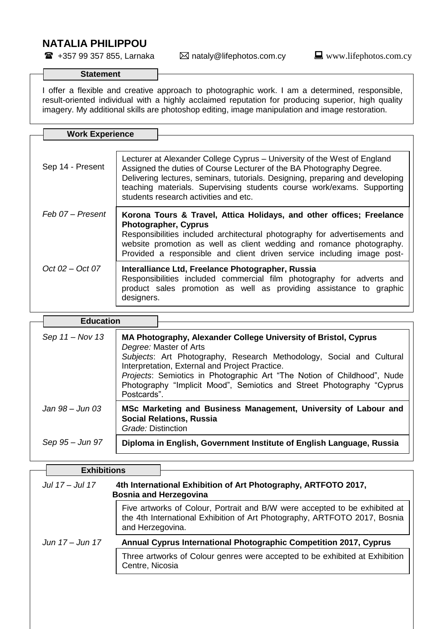## **NATALIA PHILIPPOU**

 $$ 

## **Statement**

I offer a flexible and creative approach to photographic work. I am a determined, responsible, result-oriented individual with a highly acclaimed reputation for producing superior, high quality imagery. My additional skills are photoshop editing, image manipulation and image restoration.

| <b>Work Experience</b> |                                                                                                                                                                                                                                                                                                                                                      |  |  |
|------------------------|------------------------------------------------------------------------------------------------------------------------------------------------------------------------------------------------------------------------------------------------------------------------------------------------------------------------------------------------------|--|--|
|                        |                                                                                                                                                                                                                                                                                                                                                      |  |  |
| Sep 14 - Present       | Lecturer at Alexander College Cyprus – University of the West of England<br>Assigned the duties of Course Lecturer of the BA Photography Degree.<br>Delivering lectures, seminars, tutorials. Designing, preparing and developing<br>teaching materials. Supervising students course work/exams. Supporting<br>students research activities and etc. |  |  |
| Feb 07 – Present       | Korona Tours & Travel, Attica Holidays, and other offices; Freelance<br><b>Photographer, Cyprus</b><br>Responsibilities included architectural photography for advertisements and<br>website promotion as well as client wedding and romance photography.<br>Provided a responsible and client driven service including image post-                  |  |  |
| $Oct 02 - Oct 07$      | Interalliance Ltd, Freelance Photographer, Russia<br>Responsibilities included commercial film photography for adverts and<br>product sales promotion as well as providing assistance to graphic<br>designers.                                                                                                                                       |  |  |

| <b>Education</b>  |                                                                                                                                                                                                                                                                                                                                                                                        |
|-------------------|----------------------------------------------------------------------------------------------------------------------------------------------------------------------------------------------------------------------------------------------------------------------------------------------------------------------------------------------------------------------------------------|
| Sep $11 - Nov 13$ | MA Photography, Alexander College University of Bristol, Cyprus<br>Degree: Master of Arts<br>Subjects: Art Photography, Research Methodology, Social and Cultural<br>Interpretation, External and Project Practice.<br>Projects: Semiotics in Photographic Art "The Notion of Childhood", Nude<br>Photography "Implicit Mood", Semiotics and Street Photography "Cyprus<br>Postcards". |
| Jan 98 – Jun 03   | MSc Marketing and Business Management, University of Labour and<br><b>Social Relations, Russia</b><br>Grade: Distinction                                                                                                                                                                                                                                                               |
| Sep 95 – Jun 97   | Diploma in English, Government Institute of English Language, Russia                                                                                                                                                                                                                                                                                                                   |

| <b>Exhibitions</b>                                                                                                                                                          |
|-----------------------------------------------------------------------------------------------------------------------------------------------------------------------------|
| 4th International Exhibition of Art Photography, ARTFOTO 2017,<br><b>Bosnia and Herzegovina</b>                                                                             |
| Five artworks of Colour, Portrait and B/W were accepted to be exhibited at<br>the 4th International Exhibition of Art Photography, ARTFOTO 2017, Bosnia<br>and Herzegovina. |
| <b>Annual Cyprus International Photographic Competition 2017, Cyprus</b>                                                                                                    |
| Three artworks of Colour genres were accepted to be exhibited at Exhibition<br>Centre, Nicosia                                                                              |
|                                                                                                                                                                             |